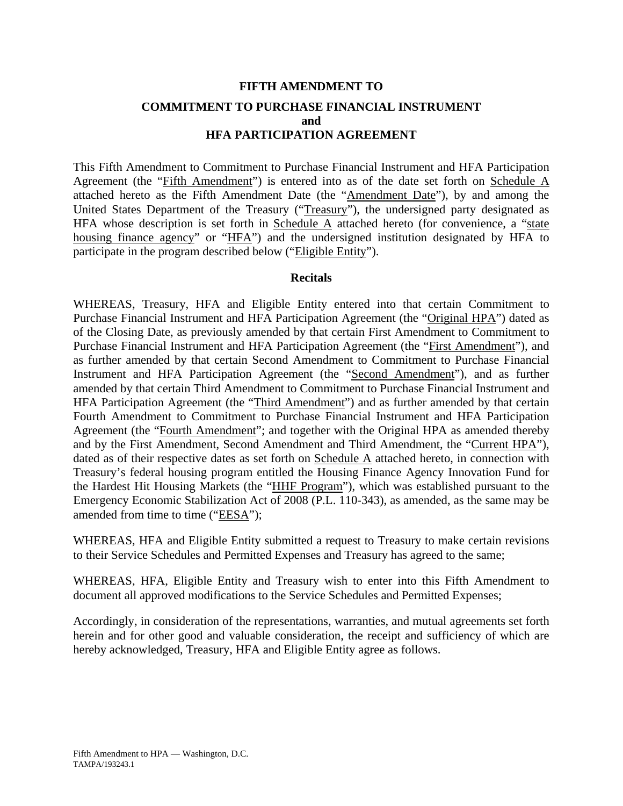# **FIFTH AMENDMENT TO COMMITMENT TO PURCHASE FINANCIAL INSTRUMENT and HFA PARTICIPATION AGREEMENT**

This Fifth Amendment to Commitment to Purchase Financial Instrument and HFA Participation Agreement (the "Fifth Amendment") is entered into as of the date set forth on Schedule A attached hereto as the Fifth Amendment Date (the "Amendment Date"), by and among the United States Department of the Treasury ("Treasury"), the undersigned party designated as HFA whose description is set forth in Schedule  $\overline{A}$  attached hereto (for convenience, a "state housing finance agency" or "HFA") and the undersigned institution designated by HFA to participate in the program described below ("Eligible Entity").

## **Recitals**

WHEREAS, Treasury, HFA and Eligible Entity entered into that certain Commitment to Purchase Financial Instrument and HFA Participation Agreement (the "Original HPA") dated as of the Closing Date, as previously amended by that certain First Amendment to Commitment to Purchase Financial Instrument and HFA Participation Agreement (the "First Amendment"), and as further amended by that certain Second Amendment to Commitment to Purchase Financial Instrument and HFA Participation Agreement (the "Second Amendment"), and as further amended by that certain Third Amendment to Commitment to Purchase Financial Instrument and HFA Participation Agreement (the "Third Amendment") and as further amended by that certain Fourth Amendment to Commitment to Purchase Financial Instrument and HFA Participation Agreement (the "Fourth Amendment"; and together with the Original HPA as amended thereby and by the First Amendment, Second Amendment and Third Amendment, the "Current HPA"), dated as of their respective dates as set forth on Schedule A attached hereto, in connection with Treasury's federal housing program entitled the Housing Finance Agency Innovation Fund for the Hardest Hit Housing Markets (the "HHF Program"), which was established pursuant to the Emergency Economic Stabilization Act of 2008 (P.L. 110-343), as amended, as the same may be amended from time to time ("EESA");

WHEREAS, HFA and Eligible Entity submitted a request to Treasury to make certain revisions to their Service Schedules and Permitted Expenses and Treasury has agreed to the same;

WHEREAS, HFA, Eligible Entity and Treasury wish to enter into this Fifth Amendment to document all approved modifications to the Service Schedules and Permitted Expenses;

Accordingly, in consideration of the representations, warranties, and mutual agreements set forth herein and for other good and valuable consideration, the receipt and sufficiency of which are hereby acknowledged, Treasury, HFA and Eligible Entity agree as follows.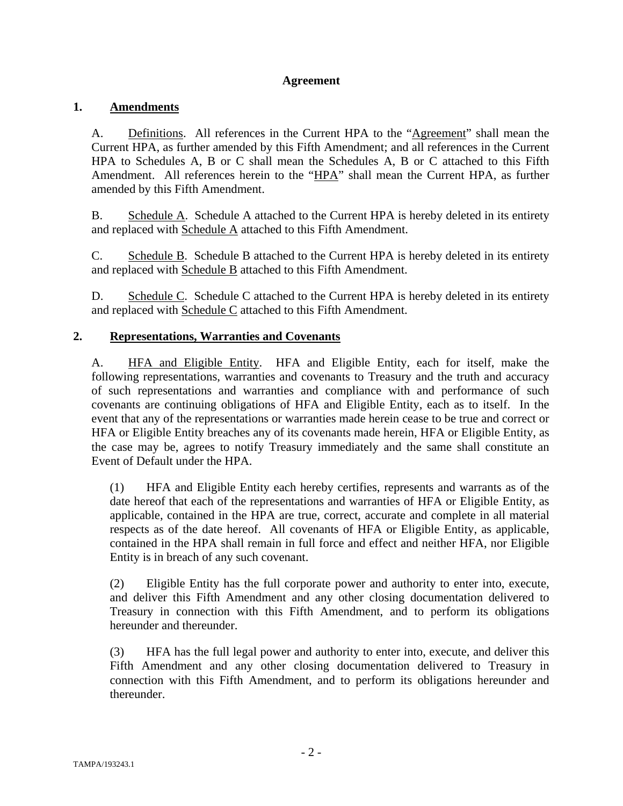## **Agreement**

## **1. Amendments**

A. Definitions. All references in the Current HPA to the "Agreement" shall mean the Current HPA, as further amended by this Fifth Amendment; and all references in the Current HPA to Schedules A, B or C shall mean the Schedules A, B or C attached to this Fifth Amendment. All references herein to the "HPA" shall mean the Current HPA, as further amended by this Fifth Amendment.

B. Schedule A. Schedule A attached to the Current HPA is hereby deleted in its entirety and replaced with Schedule A attached to this Fifth Amendment.

C. Schedule B. Schedule B attached to the Current HPA is hereby deleted in its entirety and replaced with Schedule B attached to this Fifth Amendment.

D. Schedule C. Schedule C attached to the Current HPA is hereby deleted in its entirety and replaced with Schedule C attached to this Fifth Amendment.

## **2. Representations, Warranties and Covenants**

A. HFA and Eligible Entity. HFA and Eligible Entity, each for itself, make the following representations, warranties and covenants to Treasury and the truth and accuracy of such representations and warranties and compliance with and performance of such covenants are continuing obligations of HFA and Eligible Entity, each as to itself. In the event that any of the representations or warranties made herein cease to be true and correct or HFA or Eligible Entity breaches any of its covenants made herein, HFA or Eligible Entity, as the case may be, agrees to notify Treasury immediately and the same shall constitute an Event of Default under the HPA.

(1) HFA and Eligible Entity each hereby certifies, represents and warrants as of the date hereof that each of the representations and warranties of HFA or Eligible Entity, as applicable, contained in the HPA are true, correct, accurate and complete in all material respects as of the date hereof. All covenants of HFA or Eligible Entity, as applicable, contained in the HPA shall remain in full force and effect and neither HFA, nor Eligible Entity is in breach of any such covenant.

(2) Eligible Entity has the full corporate power and authority to enter into, execute, and deliver this Fifth Amendment and any other closing documentation delivered to Treasury in connection with this Fifth Amendment, and to perform its obligations hereunder and thereunder.

(3) HFA has the full legal power and authority to enter into, execute, and deliver this Fifth Amendment and any other closing documentation delivered to Treasury in connection with this Fifth Amendment, and to perform its obligations hereunder and thereunder.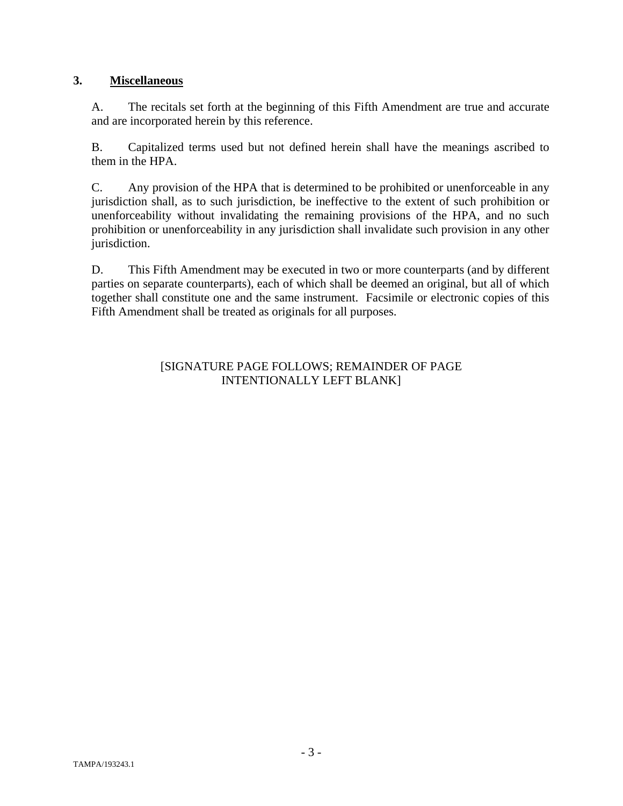## **3. Miscellaneous**

A. The recitals set forth at the beginning of this Fifth Amendment are true and accurate and are incorporated herein by this reference.

B. Capitalized terms used but not defined herein shall have the meanings ascribed to them in the HPA.

C. Any provision of the HPA that is determined to be prohibited or unenforceable in any jurisdiction shall, as to such jurisdiction, be ineffective to the extent of such prohibition or unenforceability without invalidating the remaining provisions of the HPA, and no such prohibition or unenforceability in any jurisdiction shall invalidate such provision in any other jurisdiction.

D. This Fifth Amendment may be executed in two or more counterparts (and by different parties on separate counterparts), each of which shall be deemed an original, but all of which together shall constitute one and the same instrument. Facsimile or electronic copies of this Fifth Amendment shall be treated as originals for all purposes.

## [SIGNATURE PAGE FOLLOWS; REMAINDER OF PAGE INTENTIONALLY LEFT BLANK]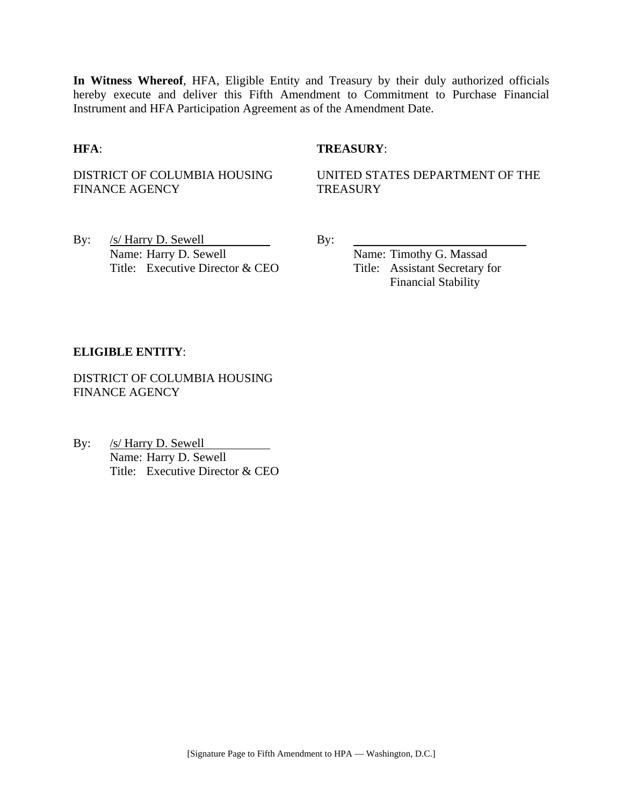**In Witness Whereof**, HFA, Eligible Entity and Treasury by their duly authorized officials hereby execute and deliver this Fifth Amendment to Commitment to Purchase Financial Instrument and HFA Participation Agreement as of the Amendment Date.

## **HFA**: **TREASURY**:

DISTRICT OF COLUMBIA HOUSING FINANCE AGENCY

UNITED STATES DEPARTMENT OF THE **TREASURY** 

By:  $/s/$  Harry D. Sewell By: Name: Harry D. Sewell Name: Timothy G. Massad Title: Executive Director & CEO Title: Assistant Secretary for

Financial Stability

### **ELIGIBLE ENTITY**:

DISTRICT OF COLUMBIA HOUSING FINANCE AGENCY

By: /s/ Harry D. Sewell Name: Harry D. Sewell Title: Executive Director & CEO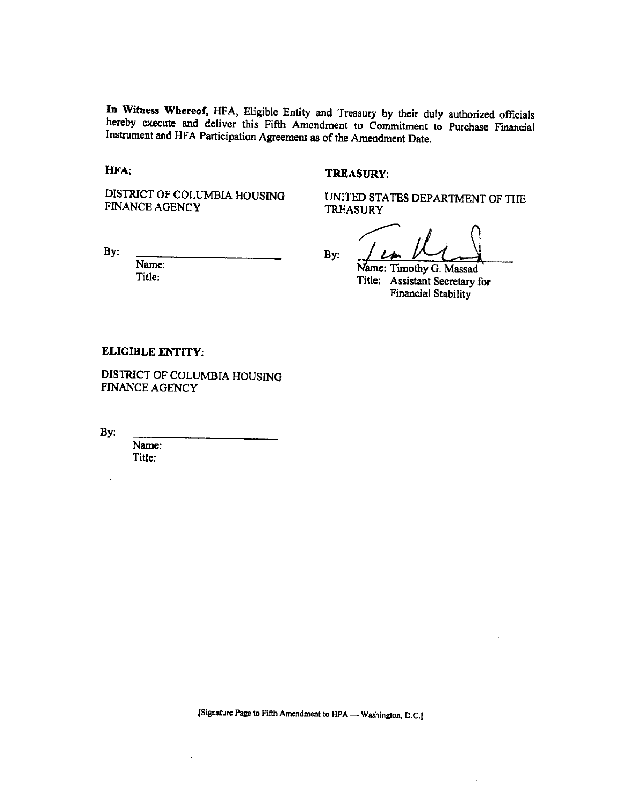In Witness Whereof, HFA, Eligible Entity and Treasury by their duly authorized officials hereby execute and deliver this Fifth Amendment to Commitment to Purchase Financial Instrument and HFA Participation Agreement as of the Amendment Date.

HFA:

### **TREASURY:**

DISTRICT OF COLUMBIA HOUSING **FINANCE AGENCY** 

By:

Name: Title:

**TREASURY** 

UNITED STATES DEPARTMENT OF THE

By:

Name: Timothy G. Massad Title: Assistant Secretary for **Financial Stability** 

#### **ELIGIBLE ENTITY:**

DISTRICT OF COLUMBIA HOUSING FINANCE AGENCY

By:

Name: Title:

[Signature Page to Fifth Amendment to HPA - Washington, D.C.]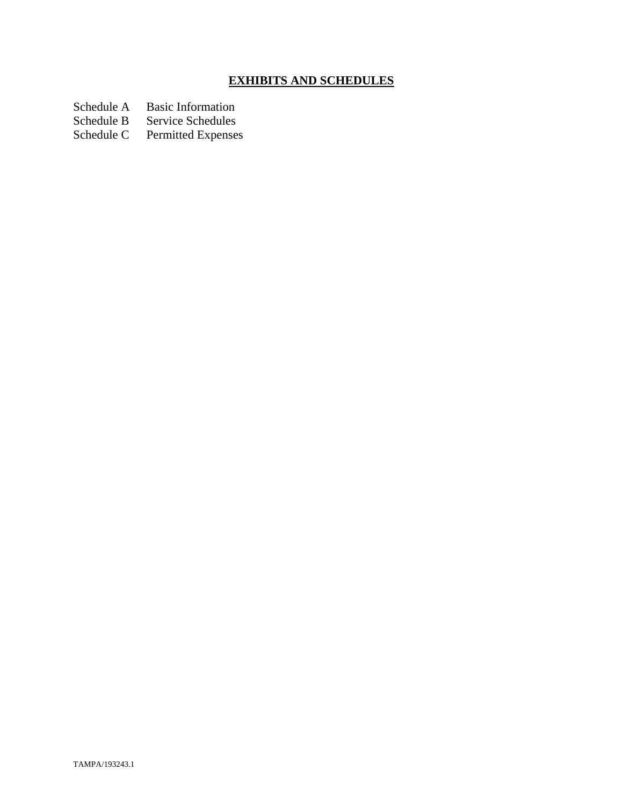# **EXHIBITS AND SCHEDULES**

Schedule A Basic Information<br>Schedule B Service Schedules

Schedule B Service Schedules<br>Schedule C Permitted Expenses

Permitted Expenses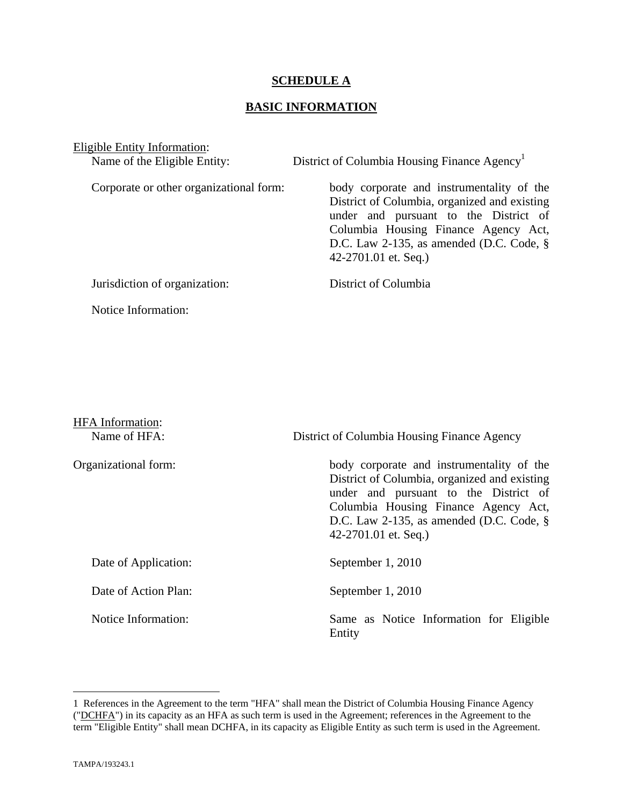## **SCHEDULE A**

## **BASIC INFORMATION**

Eligible Entity Information:

Name of the Eligible Entity: District of Columbia Housing Finance Agency<sup>1</sup> Corporate or other organizational form: body corporate and instrumentality of the District of Columbia, organized and existing under and pursuant to the District of Columbia Housing Finance Agency Act, D.C. Law 2-135, as amended (D.C. Code, § 42-2701.01 et. Seq.) Jurisdiction of organization: District of Columbia Notice Information:

| <b>HFA</b> Information:<br>Name of HFA: | District of Columbia Housing Finance Agency                                                                                                                                                                                                         |
|-----------------------------------------|-----------------------------------------------------------------------------------------------------------------------------------------------------------------------------------------------------------------------------------------------------|
| Organizational form:                    | body corporate and instrumentality of the<br>District of Columbia, organized and existing<br>under and pursuant to the District of<br>Columbia Housing Finance Agency Act,<br>D.C. Law 2-135, as amended (D.C. Code, $\S$ )<br>42-2701.01 et. Seq.) |
| Date of Application:                    | September 1, 2010                                                                                                                                                                                                                                   |
| Date of Action Plan:                    | September 1, 2010                                                                                                                                                                                                                                   |
| Notice Information:                     | Same as Notice Information for Eligible<br>Entity                                                                                                                                                                                                   |

1

<sup>1</sup> References in the Agreement to the term "HFA" shall mean the District of Columbia Housing Finance Agency ("DCHFA") in its capacity as an HFA as such term is used in the Agreement; references in the Agreement to the term "Eligible Entity" shall mean DCHFA, in its capacity as Eligible Entity as such term is used in the Agreement.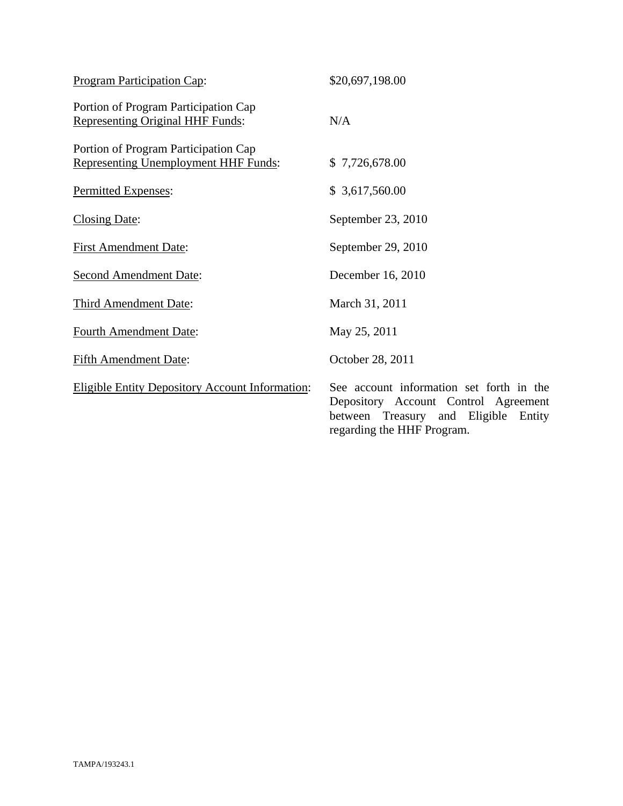| <b>Program Participation Cap:</b>                                                   | \$20,697,198.00                                                                                                          |
|-------------------------------------------------------------------------------------|--------------------------------------------------------------------------------------------------------------------------|
| Portion of Program Participation Cap<br><b>Representing Original HHF Funds:</b>     | N/A                                                                                                                      |
| Portion of Program Participation Cap<br><b>Representing Unemployment HHF Funds:</b> | \$7,726,678.00                                                                                                           |
| Permitted Expenses:                                                                 | \$3,617,560.00                                                                                                           |
| Closing Date:                                                                       | September 23, 2010                                                                                                       |
| <b>First Amendment Date:</b>                                                        | September 29, 2010                                                                                                       |
| <b>Second Amendment Date:</b>                                                       | December 16, 2010                                                                                                        |
| Third Amendment Date:                                                               | March 31, 2011                                                                                                           |
| <b>Fourth Amendment Date:</b>                                                       | May 25, 2011                                                                                                             |
| <b>Fifth Amendment Date:</b>                                                        | October 28, 2011                                                                                                         |
| <b>Eligible Entity Depository Account Information:</b>                              | See account information set forth in the<br>Depository Account Control Agreement<br>between Treasury and Eligible Entity |

regarding the HHF Program.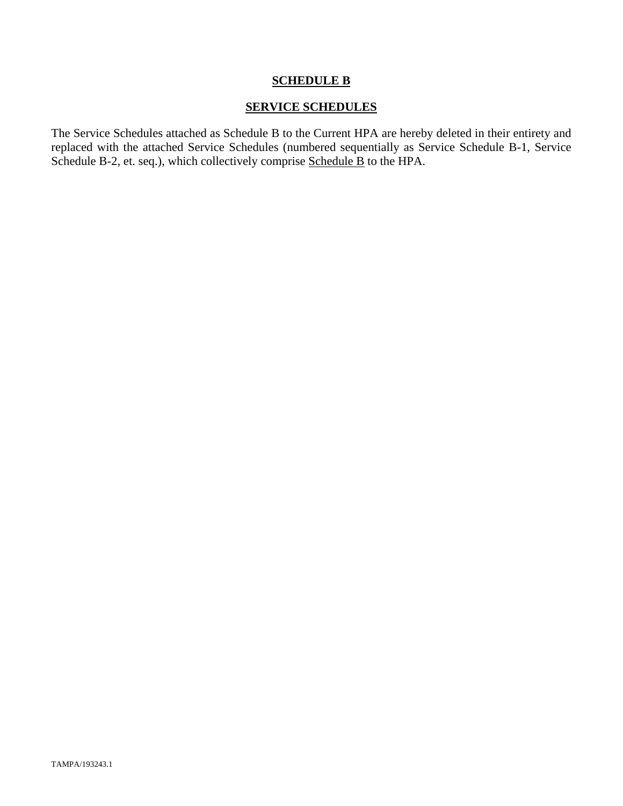## **SCHEDULE B**

## **SERVICE SCHEDULES**

The Service Schedules attached as Schedule B to the Current HPA are hereby deleted in their entirety and replaced with the attached Service Schedules (numbered sequentially as Service Schedule B-1, Service Schedule B-2, et. seq.), which collectively comprise Schedule B to the HPA.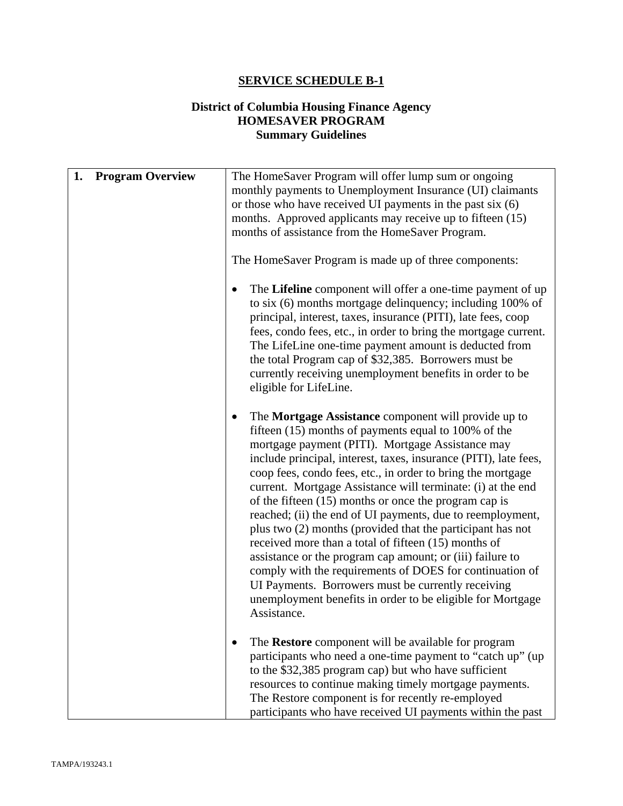## **SERVICE SCHEDULE B-1**

## **District of Columbia Housing Finance Agency HOMESAVER PROGRAM Summary Guidelines**

| 1. | <b>Program Overview</b> | The HomeSaver Program will offer lump sum or ongoing<br>monthly payments to Unemployment Insurance (UI) claimants<br>or those who have received UI payments in the past six $(6)$<br>months. Approved applicants may receive up to fifteen (15)<br>months of assistance from the HomeSaver Program.<br>The HomeSaver Program is made up of three components:<br>The Lifeline component will offer a one-time payment of up<br>to six (6) months mortgage delinquency; including 100% of<br>principal, interest, taxes, insurance (PITI), late fees, coop<br>fees, condo fees, etc., in order to bring the mortgage current.<br>The LifeLine one-time payment amount is deducted from<br>the total Program cap of \$32,385. Borrowers must be<br>currently receiving unemployment benefits in order to be<br>eligible for LifeLine.                                                       |
|----|-------------------------|------------------------------------------------------------------------------------------------------------------------------------------------------------------------------------------------------------------------------------------------------------------------------------------------------------------------------------------------------------------------------------------------------------------------------------------------------------------------------------------------------------------------------------------------------------------------------------------------------------------------------------------------------------------------------------------------------------------------------------------------------------------------------------------------------------------------------------------------------------------------------------------|
|    |                         | The Mortgage Assistance component will provide up to<br>$\bullet$<br>fifteen (15) months of payments equal to 100% of the<br>mortgage payment (PITI). Mortgage Assistance may<br>include principal, interest, taxes, insurance (PITI), late fees,<br>coop fees, condo fees, etc., in order to bring the mortgage<br>current. Mortgage Assistance will terminate: (i) at the end<br>of the fifteen (15) months or once the program cap is<br>reached; (ii) the end of UI payments, due to reemployment,<br>plus two (2) months (provided that the participant has not<br>received more than a total of fifteen (15) months of<br>assistance or the program cap amount; or (iii) failure to<br>comply with the requirements of DOES for continuation of<br>UI Payments. Borrowers must be currently receiving<br>unemployment benefits in order to be eligible for Mortgage<br>Assistance. |
|    |                         | The Restore component will be available for program<br>participants who need a one-time payment to "catch up" (up<br>to the \$32,385 program cap) but who have sufficient<br>resources to continue making timely mortgage payments.<br>The Restore component is for recently re-employed<br>participants who have received UI payments within the past                                                                                                                                                                                                                                                                                                                                                                                                                                                                                                                                   |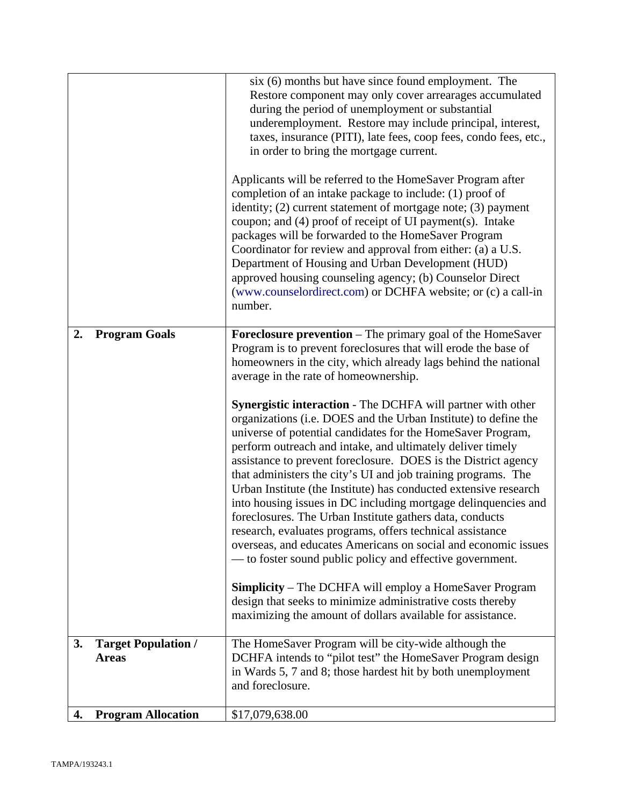|    |                                            | six (6) months but have since found employment. The<br>Restore component may only cover arrearages accumulated<br>during the period of unemployment or substantial<br>underemployment. Restore may include principal, interest,<br>taxes, insurance (PITI), late fees, coop fees, condo fees, etc.,<br>in order to bring the mortgage current.<br>Applicants will be referred to the HomeSaver Program after<br>completion of an intake package to include: (1) proof of<br>identity; (2) current statement of mortgage note; (3) payment<br>coupon; and (4) proof of receipt of UI payment(s). Intake<br>packages will be forwarded to the HomeSaver Program<br>Coordinator for review and approval from either: (a) a U.S.<br>Department of Housing and Urban Development (HUD)<br>approved housing counseling agency; (b) Counselor Direct<br>(www.counselordirect.com) or DCHFA website; or (c) a call-in<br>number.                                                                                                                                                                                                                                                                                                                    |
|----|--------------------------------------------|---------------------------------------------------------------------------------------------------------------------------------------------------------------------------------------------------------------------------------------------------------------------------------------------------------------------------------------------------------------------------------------------------------------------------------------------------------------------------------------------------------------------------------------------------------------------------------------------------------------------------------------------------------------------------------------------------------------------------------------------------------------------------------------------------------------------------------------------------------------------------------------------------------------------------------------------------------------------------------------------------------------------------------------------------------------------------------------------------------------------------------------------------------------------------------------------------------------------------------------------|
| 2. | <b>Program Goals</b>                       | <b>Foreclosure prevention</b> – The primary goal of the HomeSaver<br>Program is to prevent foreclosures that will erode the base of<br>homeowners in the city, which already lags behind the national<br>average in the rate of homeownership.<br>Synergistic interaction - The DCHFA will partner with other<br>organizations (i.e. DOES and the Urban Institute) to define the<br>universe of potential candidates for the HomeSaver Program,<br>perform outreach and intake, and ultimately deliver timely<br>assistance to prevent foreclosure. DOES is the District agency<br>that administers the city's UI and job training programs. The<br>Urban Institute (the Institute) has conducted extensive research<br>into housing issues in DC including mortgage delinquencies and<br>foreclosures. The Urban Institute gathers data, conducts<br>research, evaluates programs, offers technical assistance<br>overseas, and educates Americans on social and economic issues<br>— to foster sound public policy and effective government.<br><b>Simplicity</b> – The DCHFA will employ a HomeSaver Program<br>design that seeks to minimize administrative costs thereby<br>maximizing the amount of dollars available for assistance. |
| 3. | <b>Target Population /</b><br><b>Areas</b> | The HomeSaver Program will be city-wide although the<br>DCHFA intends to "pilot test" the HomeSaver Program design<br>in Wards 5, 7 and 8; those hardest hit by both unemployment<br>and foreclosure.                                                                                                                                                                                                                                                                                                                                                                                                                                                                                                                                                                                                                                                                                                                                                                                                                                                                                                                                                                                                                                       |
| 4. | <b>Program Allocation</b>                  | \$17,079,638.00                                                                                                                                                                                                                                                                                                                                                                                                                                                                                                                                                                                                                                                                                                                                                                                                                                                                                                                                                                                                                                                                                                                                                                                                                             |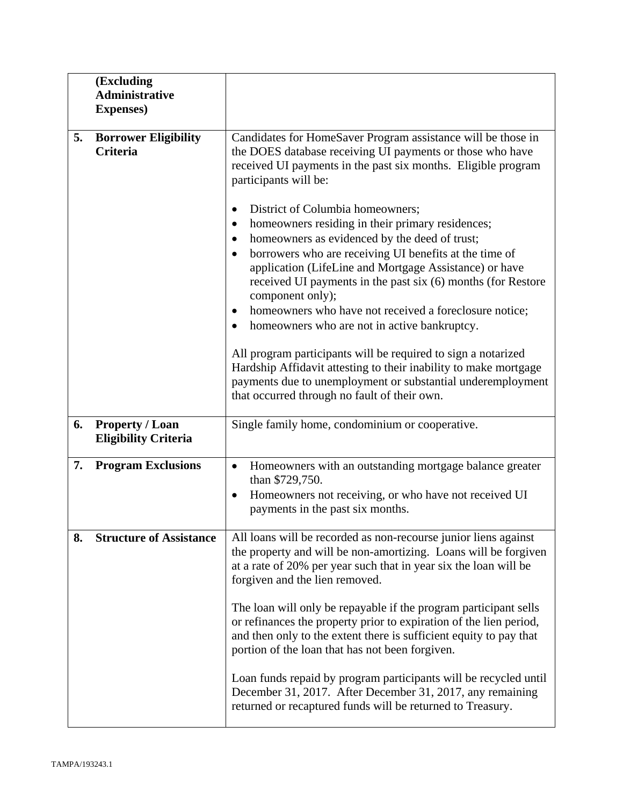|    | (Excluding<br><b>Administrative</b><br><b>Expenses</b> ) |                                                                                                                                                                                                                                                                                                                                                                                                                                                                                                                                                                                                                                                                                                                                                                   |
|----|----------------------------------------------------------|-------------------------------------------------------------------------------------------------------------------------------------------------------------------------------------------------------------------------------------------------------------------------------------------------------------------------------------------------------------------------------------------------------------------------------------------------------------------------------------------------------------------------------------------------------------------------------------------------------------------------------------------------------------------------------------------------------------------------------------------------------------------|
| 5. | <b>Borrower Eligibility</b><br><b>Criteria</b>           | Candidates for HomeSaver Program assistance will be those in<br>the DOES database receiving UI payments or those who have<br>received UI payments in the past six months. Eligible program<br>participants will be:<br>District of Columbia homeowners;<br>٠<br>homeowners residing in their primary residences;<br>homeowners as evidenced by the deed of trust;<br>borrowers who are receiving UI benefits at the time of<br>$\bullet$<br>application (LifeLine and Mortgage Assistance) or have<br>received UI payments in the past six (6) months (for Restore<br>component only);<br>homeowners who have not received a foreclosure notice;<br>homeowners who are not in active bankruptcy.<br>All program participants will be required to sign a notarized |
|    |                                                          | Hardship Affidavit attesting to their inability to make mortgage<br>payments due to unemployment or substantial underemployment<br>that occurred through no fault of their own.                                                                                                                                                                                                                                                                                                                                                                                                                                                                                                                                                                                   |
| 6. | <b>Property / Loan</b><br><b>Eligibility Criteria</b>    | Single family home, condominium or cooperative.                                                                                                                                                                                                                                                                                                                                                                                                                                                                                                                                                                                                                                                                                                                   |
| 7. | <b>Program Exclusions</b>                                | Homeowners with an outstanding mortgage balance greater<br>$\bullet$<br>than \$729,750.<br>Homeowners not receiving, or who have not received UI<br>$\bullet$<br>payments in the past six months.                                                                                                                                                                                                                                                                                                                                                                                                                                                                                                                                                                 |
| 8. | <b>Structure of Assistance</b>                           | All loans will be recorded as non-recourse junior liens against<br>the property and will be non-amortizing. Loans will be forgiven<br>at a rate of 20% per year such that in year six the loan will be<br>forgiven and the lien removed.                                                                                                                                                                                                                                                                                                                                                                                                                                                                                                                          |
|    |                                                          | The loan will only be repayable if the program participant sells<br>or refinances the property prior to expiration of the lien period,<br>and then only to the extent there is sufficient equity to pay that<br>portion of the loan that has not been forgiven.                                                                                                                                                                                                                                                                                                                                                                                                                                                                                                   |
|    |                                                          | Loan funds repaid by program participants will be recycled until<br>December 31, 2017. After December 31, 2017, any remaining<br>returned or recaptured funds will be returned to Treasury.                                                                                                                                                                                                                                                                                                                                                                                                                                                                                                                                                                       |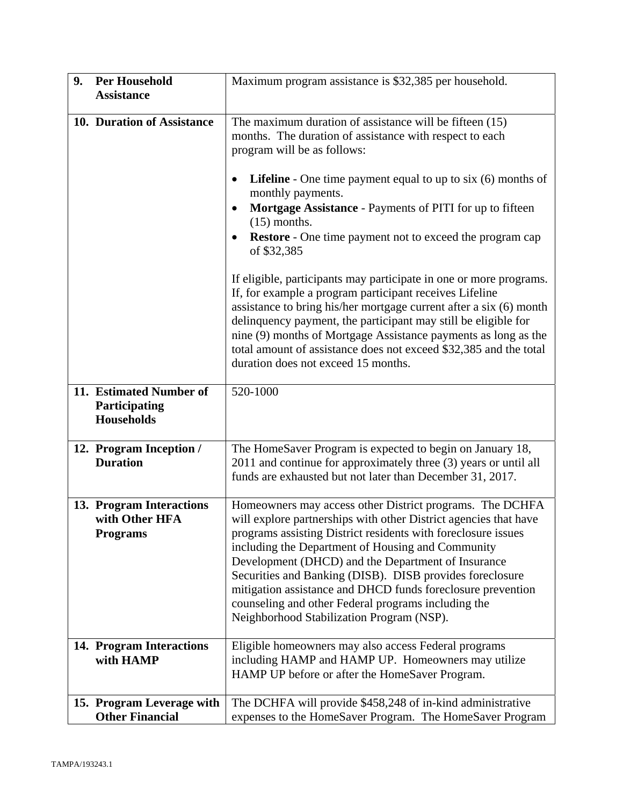| 9. | <b>Per Household</b>                                          | Maximum program assistance is \$32,385 per household.                                                                                                                                                                                                                                                                                                                                                                                                                                                                                   |  |
|----|---------------------------------------------------------------|-----------------------------------------------------------------------------------------------------------------------------------------------------------------------------------------------------------------------------------------------------------------------------------------------------------------------------------------------------------------------------------------------------------------------------------------------------------------------------------------------------------------------------------------|--|
|    | <b>Assistance</b>                                             |                                                                                                                                                                                                                                                                                                                                                                                                                                                                                                                                         |  |
|    | 10. Duration of Assistance                                    | The maximum duration of assistance will be fifteen (15)<br>months. The duration of assistance with respect to each<br>program will be as follows:                                                                                                                                                                                                                                                                                                                                                                                       |  |
|    |                                                               | <b>Lifeline</b> - One time payment equal to up to six $(6)$ months of<br>٠<br>monthly payments.<br>Mortgage Assistance - Payments of PITI for up to fifteen<br>٠<br>$(15)$ months.<br><b>Restore</b> - One time payment not to exceed the program cap<br>٠<br>of \$32,385                                                                                                                                                                                                                                                               |  |
|    |                                                               | If eligible, participants may participate in one or more programs.<br>If, for example a program participant receives Lifeline<br>assistance to bring his/her mortgage current after a six (6) month<br>delinquency payment, the participant may still be eligible for<br>nine (9) months of Mortgage Assistance payments as long as the<br>total amount of assistance does not exceed \$32,385 and the total<br>duration does not exceed 15 months.                                                                                     |  |
|    | 11. Estimated Number of<br>Participating<br><b>Households</b> | 520-1000                                                                                                                                                                                                                                                                                                                                                                                                                                                                                                                                |  |
|    | 12. Program Inception /<br><b>Duration</b>                    | The HomeSaver Program is expected to begin on January 18,<br>2011 and continue for approximately three (3) years or until all<br>funds are exhausted but not later than December 31, 2017.                                                                                                                                                                                                                                                                                                                                              |  |
|    | 13. Program Interactions<br>with Other HFA<br><b>Programs</b> | Homeowners may access other District programs. The DCHFA<br>will explore partnerships with other District agencies that have<br>programs assisting District residents with foreclosure issues<br>including the Department of Housing and Community<br>Development (DHCD) and the Department of Insurance<br>Securities and Banking (DISB). DISB provides foreclosure<br>mitigation assistance and DHCD funds foreclosure prevention<br>counseling and other Federal programs including the<br>Neighborhood Stabilization Program (NSP). |  |
|    | 14. Program Interactions<br>with HAMP                         | Eligible homeowners may also access Federal programs<br>including HAMP and HAMP UP. Homeowners may utilize<br>HAMP UP before or after the HomeSaver Program.                                                                                                                                                                                                                                                                                                                                                                            |  |
|    | 15. Program Leverage with<br><b>Other Financial</b>           | The DCHFA will provide \$458,248 of in-kind administrative<br>expenses to the HomeSaver Program. The HomeSaver Program                                                                                                                                                                                                                                                                                                                                                                                                                  |  |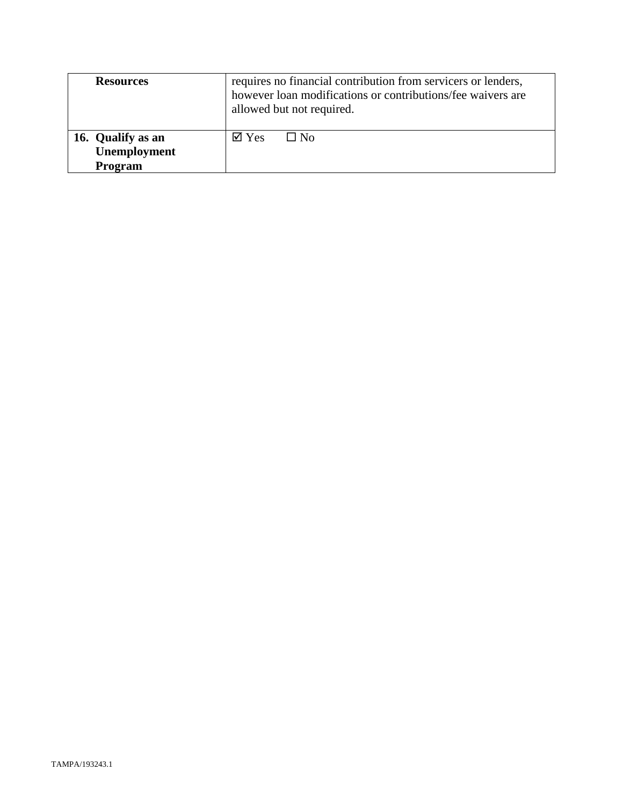| <b>Resources</b>                             | requires no financial contribution from servicers or lenders,<br>however loan modifications or contributions/fee waivers are<br>allowed but not required. |  |
|----------------------------------------------|-----------------------------------------------------------------------------------------------------------------------------------------------------------|--|
| 16. Qualify as an<br>Unemployment<br>Program | $\boxtimes$ Yes<br>$\Box$ No                                                                                                                              |  |